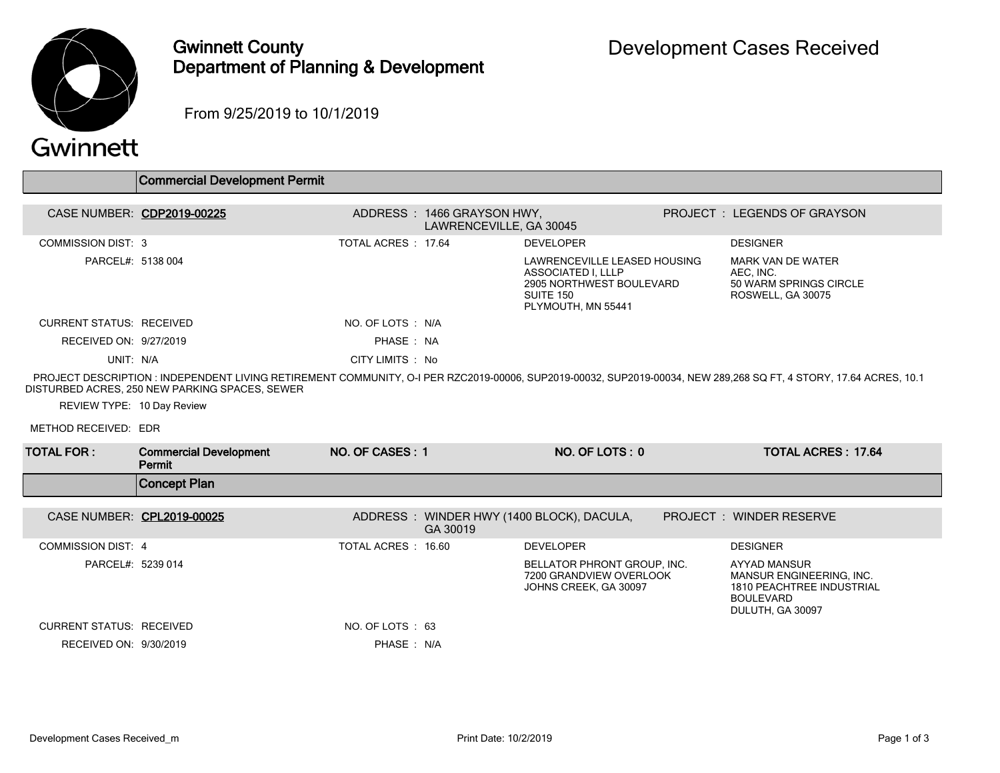

## Gwinnett County Department of Planning & Development

From 9/25/2019 to 10/1/2019

Commercial Development Permit

## Gwinnett

|                                 | <b>COMMICICIAL DEVEIODITIENT L'ENTITU</b>                                                                                                                                                                           |                    |                                                       |                                                                                                                   |                                                                                                                      |  |
|---------------------------------|---------------------------------------------------------------------------------------------------------------------------------------------------------------------------------------------------------------------|--------------------|-------------------------------------------------------|-------------------------------------------------------------------------------------------------------------------|----------------------------------------------------------------------------------------------------------------------|--|
|                                 | CASE NUMBER: CDP2019-00225                                                                                                                                                                                          |                    | ADDRESS: 1466 GRAYSON HWY,<br>LAWRENCEVILLE, GA 30045 |                                                                                                                   | PROJECT: LEGENDS OF GRAYSON                                                                                          |  |
| <b>COMMISSION DIST: 3</b>       |                                                                                                                                                                                                                     | TOTAL ACRES: 17.64 |                                                       | <b>DEVELOPER</b>                                                                                                  | <b>DESIGNER</b>                                                                                                      |  |
| PARCEL#: 5138 004               |                                                                                                                                                                                                                     |                    |                                                       | LAWRENCEVILLE LEASED HOUSING<br>ASSOCIATED I. LLLP<br>2905 NORTHWEST BOULEVARD<br>SUITE 150<br>PLYMOUTH, MN 55441 | <b>MARK VAN DE WATER</b><br>AEC. INC.<br>50 WARM SPRINGS CIRCLE<br>ROSWELL, GA 30075                                 |  |
| <b>CURRENT STATUS RECEIVED</b>  |                                                                                                                                                                                                                     | NO. OF LOTS : N/A  |                                                       |                                                                                                                   |                                                                                                                      |  |
| RECEIVED ON: 9/27/2019          |                                                                                                                                                                                                                     | PHASE: NA          |                                                       |                                                                                                                   |                                                                                                                      |  |
| UNIT: N/A                       |                                                                                                                                                                                                                     | CITY LIMITS : No   |                                                       |                                                                                                                   |                                                                                                                      |  |
|                                 | PROJECT DESCRIPTION : INDEPENDENT LIVING RETIREMENT COMMUNITY, O-I PER RZC2019-00006, SUP2019-00032, SUP2019-00034, NEW 289.268 SQ FT, 4 STORY, 17.64 ACRES, 10.1<br>DISTURBED ACRES, 250 NEW PARKING SPACES, SEWER |                    |                                                       |                                                                                                                   |                                                                                                                      |  |
| REVIEW TYPE: 10 Day Review      |                                                                                                                                                                                                                     |                    |                                                       |                                                                                                                   |                                                                                                                      |  |
|                                 |                                                                                                                                                                                                                     |                    |                                                       |                                                                                                                   |                                                                                                                      |  |
| METHOD RECEIVED: EDR            |                                                                                                                                                                                                                     |                    |                                                       |                                                                                                                   |                                                                                                                      |  |
| <b>TOTAL FOR:</b>               | <b>Commercial Development</b><br>Permit                                                                                                                                                                             | NO. OF CASES: 1    |                                                       | NO. OF LOTS: 0                                                                                                    | <b>TOTAL ACRES: 17.64</b>                                                                                            |  |
|                                 | <b>Concept Plan</b>                                                                                                                                                                                                 |                    |                                                       |                                                                                                                   |                                                                                                                      |  |
| CASE NUMBER: CPL2019-00025      |                                                                                                                                                                                                                     |                    | GA 30019                                              | ADDRESS: WINDER HWY (1400 BLOCK), DACULA,                                                                         | <b>PROJECT: WINDER RESERVE</b>                                                                                       |  |
| <b>COMMISSION DIST: 4</b>       |                                                                                                                                                                                                                     | TOTAL ACRES: 16.60 |                                                       | <b>DEVELOPER</b>                                                                                                  | <b>DESIGNER</b>                                                                                                      |  |
| PARCEL#: 5239 014               |                                                                                                                                                                                                                     |                    |                                                       | BELLATOR PHRONT GROUP, INC.<br>7200 GRANDVIEW OVERLOOK<br>JOHNS CREEK, GA 30097                                   | AYYAD MANSUR<br>MANSUR ENGINEERING, INC.<br><b>1810 PEACHTREE INDUSTRIAL</b><br><b>BOULEVARD</b><br>DULUTH, GA 30097 |  |
| <b>CURRENT STATUS: RECEIVED</b> |                                                                                                                                                                                                                     | NO. OF LOTS : 63   |                                                       |                                                                                                                   |                                                                                                                      |  |
| RECEIVED ON: 9/30/2019          |                                                                                                                                                                                                                     | PHASE : N/A        |                                                       |                                                                                                                   |                                                                                                                      |  |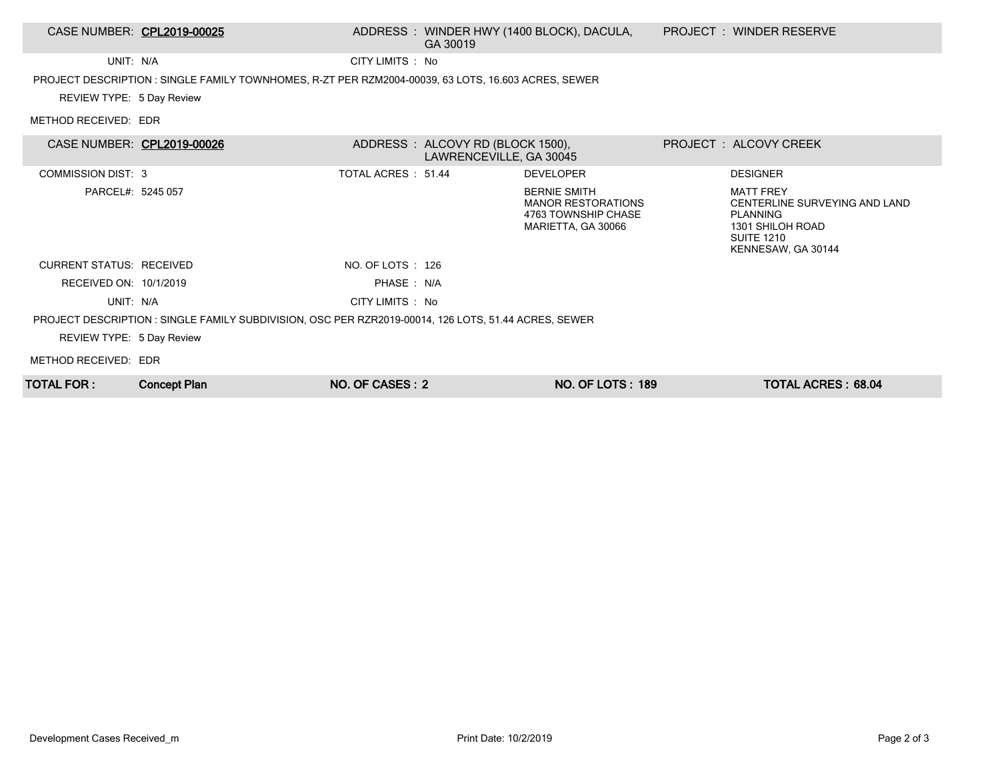| TOTAL FOR :                                                                                          | <b>Concept Plan</b>                                                                                 | NO. OF CASES: 2    |                                                             | <b>NO. OF LOTS: 189</b>                                                                       |  | <b>TOTAL ACRES: 68.04</b>                                                                                                           |  |
|------------------------------------------------------------------------------------------------------|-----------------------------------------------------------------------------------------------------|--------------------|-------------------------------------------------------------|-----------------------------------------------------------------------------------------------|--|-------------------------------------------------------------------------------------------------------------------------------------|--|
| METHOD RECEIVED: EDR                                                                                 |                                                                                                     |                    |                                                             |                                                                                               |  |                                                                                                                                     |  |
| REVIEW TYPE: 5 Day Review                                                                            |                                                                                                     |                    |                                                             |                                                                                               |  |                                                                                                                                     |  |
| PROJECT DESCRIPTION : SINGLE FAMILY SUBDIVISION, OSC PER RZR2019-00014, 126 LOTS, 51.44 ACRES, SEWER |                                                                                                     |                    |                                                             |                                                                                               |  |                                                                                                                                     |  |
| UNIT: N/A                                                                                            |                                                                                                     | CITY LIMITS : No   |                                                             |                                                                                               |  |                                                                                                                                     |  |
| RECEIVED ON: 10/1/2019                                                                               |                                                                                                     | PHASE: N/A         |                                                             |                                                                                               |  |                                                                                                                                     |  |
| <b>CURRENT STATUS: RECEIVED</b>                                                                      |                                                                                                     | NO. OF LOTS : 126  |                                                             |                                                                                               |  |                                                                                                                                     |  |
| PARCEL#: 5245 057                                                                                    |                                                                                                     |                    |                                                             | <b>BERNIE SMITH</b><br><b>MANOR RESTORATIONS</b><br>4763 TOWNSHIP CHASE<br>MARIETTA, GA 30066 |  | <b>MATT FREY</b><br>CENTERLINE SURVEYING AND LAND<br><b>PLANNING</b><br>1301 SHILOH ROAD<br><b>SUITE 1210</b><br>KENNESAW, GA 30144 |  |
| <b>COMMISSION DIST: 3</b>                                                                            |                                                                                                     | TOTAL ACRES: 51.44 |                                                             | <b>DEVELOPER</b>                                                                              |  | <b>DESIGNER</b>                                                                                                                     |  |
| CASE NUMBER: CPL2019-00026                                                                           |                                                                                                     |                    | ADDRESS: ALCOVY RD (BLOCK 1500),<br>LAWRENCEVILLE, GA 30045 |                                                                                               |  | PROJECT: ALCOVY CREEK                                                                                                               |  |
| METHOD RECEIVED: EDR                                                                                 |                                                                                                     |                    |                                                             |                                                                                               |  |                                                                                                                                     |  |
| REVIEW TYPE: 5 Day Review                                                                            | PROJECT DESCRIPTION : SINGLE FAMILY TOWNHOMES, R-ZT PER RZM2004-00039, 63 LOTS, 16.603 ACRES, SEWER |                    |                                                             |                                                                                               |  |                                                                                                                                     |  |
| UNIT: N/A                                                                                            |                                                                                                     | CITY LIMITS : No   |                                                             |                                                                                               |  |                                                                                                                                     |  |
| CASE NUMBER: CPL2019-00025                                                                           |                                                                                                     |                    | GA 30019                                                    | ADDRESS : WINDER HWY (1400 BLOCK), DACULA,                                                    |  | <b>PROJECT : WINDER RESERVE</b>                                                                                                     |  |
|                                                                                                      |                                                                                                     |                    |                                                             |                                                                                               |  |                                                                                                                                     |  |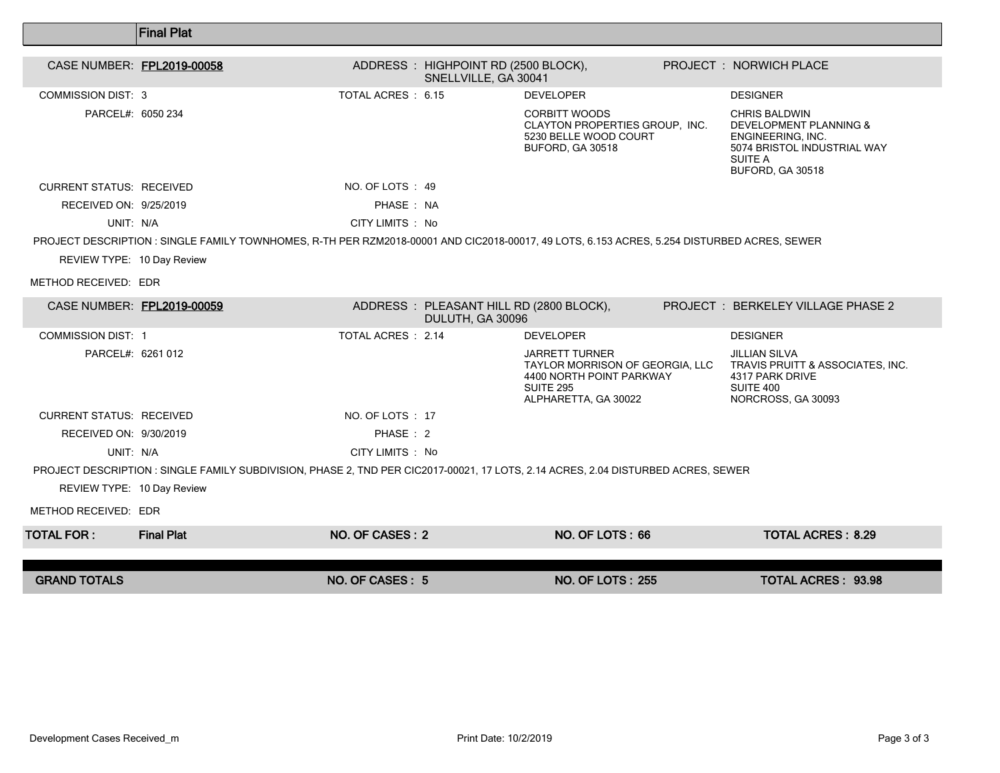|                                 | <b>Final Plat</b>                                                                                                                           |                           |                                                              |                                                                                                                                  |                                                                                                                                              |
|---------------------------------|---------------------------------------------------------------------------------------------------------------------------------------------|---------------------------|--------------------------------------------------------------|----------------------------------------------------------------------------------------------------------------------------------|----------------------------------------------------------------------------------------------------------------------------------------------|
| CASE NUMBER: FPL2019-00058      |                                                                                                                                             |                           | ADDRESS : HIGHPOINT RD (2500 BLOCK),<br>SNELLVILLE, GA 30041 |                                                                                                                                  | PROJECT : NORWICH PLACE                                                                                                                      |
| <b>COMMISSION DIST: 3</b>       |                                                                                                                                             | TOTAL ACRES : 6.15        |                                                              | <b>DEVELOPER</b>                                                                                                                 | <b>DESIGNER</b>                                                                                                                              |
| PARCEL#: 6050 234               |                                                                                                                                             |                           |                                                              | <b>CORBITT WOODS</b><br>CLAYTON PROPERTIES GROUP, INC.<br>5230 BELLE WOOD COURT<br>BUFORD, GA 30518                              | <b>CHRIS BALDWIN</b><br><b>DEVELOPMENT PLANNING &amp;</b><br>ENGINEERING, INC.<br>5074 BRISTOL INDUSTRIAL WAY<br>SUITE A<br>BUFORD, GA 30518 |
| <b>CURRENT STATUS: RECEIVED</b> |                                                                                                                                             | NO. OF LOTS: 49           |                                                              |                                                                                                                                  |                                                                                                                                              |
| RECEIVED ON: 9/25/2019          |                                                                                                                                             | PHASE: NA                 |                                                              |                                                                                                                                  |                                                                                                                                              |
| UNIT: N/A                       |                                                                                                                                             | CITY LIMITS : No          |                                                              |                                                                                                                                  |                                                                                                                                              |
|                                 | PROJECT DESCRIPTION : SINGLE FAMILY TOWNHOMES, R-TH PER RZM2018-00001 AND CIC2018-00017, 49 LOTS, 6.153 ACRES, 5.254 DISTURBED ACRES, SEWER |                           |                                                              |                                                                                                                                  |                                                                                                                                              |
| REVIEW TYPE: 10 Day Review      |                                                                                                                                             |                           |                                                              |                                                                                                                                  |                                                                                                                                              |
| METHOD RECEIVED: EDR            |                                                                                                                                             |                           |                                                              |                                                                                                                                  |                                                                                                                                              |
| CASE NUMBER: FPL2019-00059      |                                                                                                                                             |                           | ADDRESS: PLEASANT HILL RD (2800 BLOCK),<br>DULUTH, GA 30096  |                                                                                                                                  | <b>PROJECT: BERKELEY VILLAGE PHASE 2</b>                                                                                                     |
| <b>COMMISSION DIST: 1</b>       |                                                                                                                                             | <b>TOTAL ACRES : 2.14</b> |                                                              | <b>DEVELOPER</b>                                                                                                                 | <b>DESIGNER</b>                                                                                                                              |
| PARCEL#: 6261 012               |                                                                                                                                             |                           |                                                              | <b>JARRETT TURNER</b><br>TAYLOR MORRISON OF GEORGIA, LLC<br>4400 NORTH POINT PARKWAY<br><b>SUITE 295</b><br>ALPHARETTA, GA 30022 | <b>JILLIAN SILVA</b><br>TRAVIS PRUITT & ASSOCIATES, INC.<br>4317 PARK DRIVE<br>SUITE 400<br>NORCROSS, GA 30093                               |
| <b>CURRENT STATUS: RECEIVED</b> |                                                                                                                                             | NO. OF LOTS: 17           |                                                              |                                                                                                                                  |                                                                                                                                              |
| RECEIVED ON: 9/30/2019          |                                                                                                                                             | PHASE: 2                  |                                                              |                                                                                                                                  |                                                                                                                                              |
| UNIT: N/A                       |                                                                                                                                             | CITY LIMITS : No          |                                                              |                                                                                                                                  |                                                                                                                                              |
|                                 | PROJECT DESCRIPTION : SINGLE FAMILY SUBDIVISION, PHASE 2, TND PER CIC2017-00021, 17 LOTS, 2.14 ACRES, 2.04 DISTURBED ACRES, SEWER           |                           |                                                              |                                                                                                                                  |                                                                                                                                              |
| REVIEW TYPE: 10 Day Review      |                                                                                                                                             |                           |                                                              |                                                                                                                                  |                                                                                                                                              |
| METHOD RECEIVED: EDR            |                                                                                                                                             |                           |                                                              |                                                                                                                                  |                                                                                                                                              |
| <b>TOTAL FOR:</b>               | <b>Final Plat</b>                                                                                                                           | NO. OF CASES: 2           |                                                              | NO. OF LOTS: 66                                                                                                                  | <b>TOTAL ACRES: 8.29</b>                                                                                                                     |
| <b>GRAND TOTALS</b>             |                                                                                                                                             | NO. OF CASES: 5           |                                                              | <b>NO. OF LOTS: 255</b>                                                                                                          | <b>TOTAL ACRES: 93.98</b>                                                                                                                    |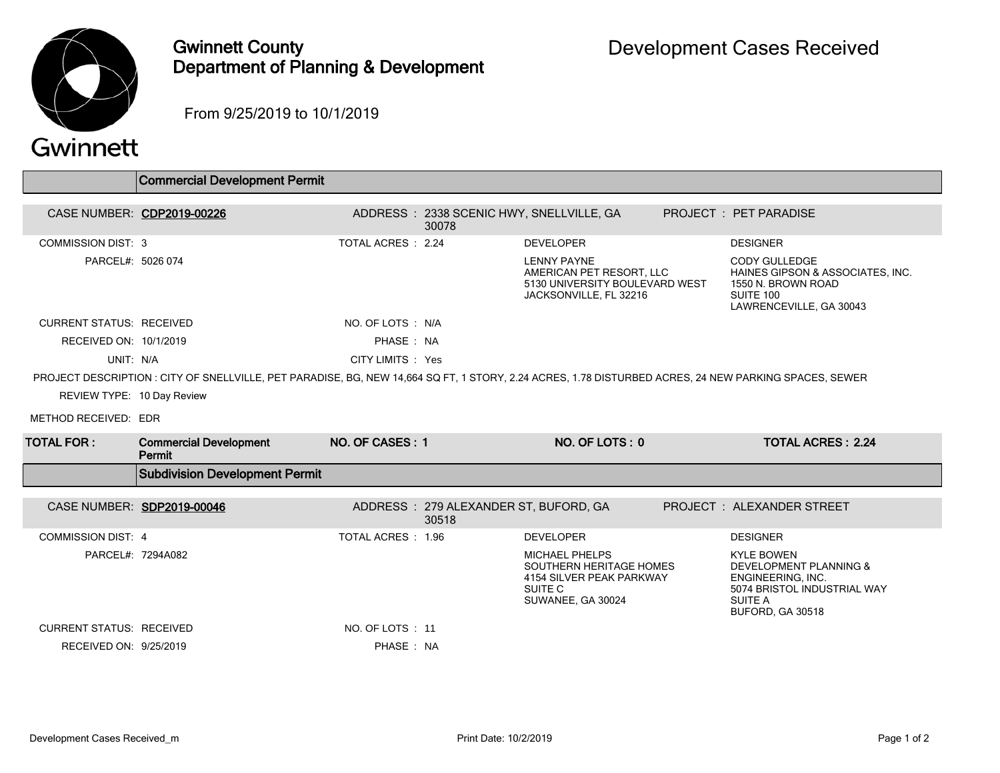

## Gwinnett County Department of Planning & Development

From 9/25/2019 to 10/1/2019

## Gwinnett

|                                 | <b>Commercial Development Permit</b>                                                                                                                  |                    |                                                |                                                                                                              |  |                                                                                                                                       |  |  |
|---------------------------------|-------------------------------------------------------------------------------------------------------------------------------------------------------|--------------------|------------------------------------------------|--------------------------------------------------------------------------------------------------------------|--|---------------------------------------------------------------------------------------------------------------------------------------|--|--|
|                                 | CASE NUMBER: CDP2019-00226                                                                                                                            |                    |                                                | ADDRESS: 2338 SCENIC HWY, SNELLVILLE, GA                                                                     |  | PROJECT: PET PARADISE                                                                                                                 |  |  |
|                                 |                                                                                                                                                       |                    | 30078                                          |                                                                                                              |  |                                                                                                                                       |  |  |
| <b>COMMISSION DIST: 3</b>       |                                                                                                                                                       | TOTAL ACRES : 2.24 |                                                | <b>DEVELOPER</b>                                                                                             |  | <b>DESIGNER</b>                                                                                                                       |  |  |
| PARCEL#: 5026 074               |                                                                                                                                                       |                    |                                                | <b>LENNY PAYNE</b><br>AMERICAN PET RESORT. LLC<br>5130 UNIVERSITY BOULEVARD WEST<br>JACKSONVILLE, FL 32216   |  | <b>CODY GULLEDGE</b><br>HAINES GIPSON & ASSOCIATES, INC.<br>1550 N. BROWN ROAD<br>SUITE 100<br>LAWRENCEVILLE, GA 30043                |  |  |
| <b>CURRENT STATUS: RECEIVED</b> |                                                                                                                                                       | NO. OF LOTS : N/A  |                                                |                                                                                                              |  |                                                                                                                                       |  |  |
| RECEIVED ON: 10/1/2019          |                                                                                                                                                       | PHASE: NA          |                                                |                                                                                                              |  |                                                                                                                                       |  |  |
| UNIT: N/A                       |                                                                                                                                                       | CITY LIMITS : Yes  |                                                |                                                                                                              |  |                                                                                                                                       |  |  |
|                                 | PROJECT DESCRIPTION : CITY OF SNELLVILLE, PET PARADISE, BG, NEW 14,664 SQ FT, 1 STORY, 2.24 ACRES, 1.78 DISTURBED ACRES, 24 NEW PARKING SPACES, SEWER |                    |                                                |                                                                                                              |  |                                                                                                                                       |  |  |
| REVIEW TYPE: 10 Day Review      |                                                                                                                                                       |                    |                                                |                                                                                                              |  |                                                                                                                                       |  |  |
| METHOD RECEIVED: EDR            |                                                                                                                                                       |                    |                                                |                                                                                                              |  |                                                                                                                                       |  |  |
| <b>TOTAL FOR :</b>              | <b>Commercial Development</b><br>Permit                                                                                                               | NO. OF CASES: 1    |                                                | NO. OF LOTS: 0                                                                                               |  | <b>TOTAL ACRES: 2.24</b>                                                                                                              |  |  |
|                                 | <b>Subdivision Development Permit</b>                                                                                                                 |                    |                                                |                                                                                                              |  |                                                                                                                                       |  |  |
|                                 | CASE NUMBER: SDP2019-00046                                                                                                                            |                    | ADDRESS: 279 ALEXANDER ST, BUFORD, GA<br>30518 |                                                                                                              |  | PROJECT: ALEXANDER STREET                                                                                                             |  |  |
| <b>COMMISSION DIST: 4</b>       |                                                                                                                                                       | TOTAL ACRES : 1.96 |                                                | <b>DEVELOPER</b>                                                                                             |  | <b>DESIGNER</b>                                                                                                                       |  |  |
|                                 | PARCEL#: 7294A082                                                                                                                                     |                    |                                                | <b>MICHAEL PHELPS</b><br>SOUTHERN HERITAGE HOMES<br>4154 SILVER PEAK PARKWAY<br>SUITE C<br>SUWANEE, GA 30024 |  | <b>KYLE BOWEN</b><br>DEVELOPMENT PLANNING &<br>ENGINEERING, INC.<br>5074 BRISTOL INDUSTRIAL WAY<br><b>SUITE A</b><br>BUFORD, GA 30518 |  |  |
| <b>CURRENT STATUS: RECEIVED</b> |                                                                                                                                                       | NO. OF LOTS: 11    |                                                |                                                                                                              |  |                                                                                                                                       |  |  |
| RECEIVED ON: 9/25/2019          |                                                                                                                                                       | PHASE: NA          |                                                |                                                                                                              |  |                                                                                                                                       |  |  |